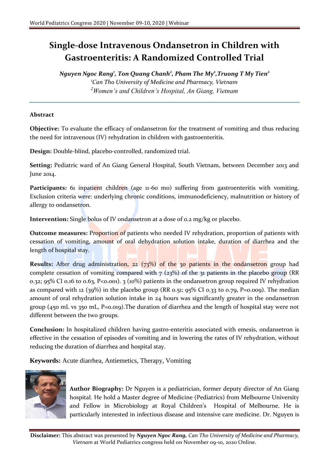## **Single-dose Intravenous Ondansetron in Children with Gastroenteritis: A Randomized Controlled Trial**

*Nguyen Ngoc Rang<sup>1</sup> , Ton Quang Chanh<sup>2</sup> , Pham The My<sup>2</sup> ,Truong T My Tien<sup>2</sup> <sup>1</sup>Can Tho University of Medicine and Pharmacy, Vietnam <sup>2</sup>Women's and Children's Hospital, An Giang, Vietnam*

## **Abstract**

**Objective:** To evaluate the efficacy of ondansetron for the treatment of vomiting and thus reducing the need for intravenous (IV) rehydration in children with gastroenteritis.

**Design:** Double-blind, placebo-controlled, randomized trial.

**Setting:** Pediatric ward of An Giang General Hospital, South Vietnam, between December 2013 and June 2014.

Participants: 61 inpatient children (age 11-60 mo) suffering from gastroenteritis with vomiting. Exclusion criteria were: underlying chronic conditions, immunodeficiency, malnutrition or history of allergy to ondansetron.

**Intervention:** Single bolus of IV ondansetron at a dose of 0.2 mg/kg or placebo.

**Outcome measures:** Proportion of patients who needed IV rehydration, proportion of patients with cessation of vomiting, amount of oral dehydration solution intake, duration of diarrhea and the length of hospital stay.

**Results:** After drug administration, 22 (73%) of the 30 patients in the ondansetron group had complete cessation of vomiting compared with  $7$  ( $23\%$ ) of the 31 patients in the placebo group (RR 0.32; 95% CI 0.16 to 0.63, P<0.001). 3 (10%) patients in the ondansetron group required IV rehydration as compared with 12 (39%) in the placebo group (RR 0.51; 95% CI 0.33 to 0.79, P=0.009). The median amount of oral rehydration solution intake in 24 hours was significantly greater in the ondansetron group (450 mL vs 350 mL, P=0.019).The duration of diarrhea and the length of hospital stay were not different between the two groups.

**Conclusion:** In hospitalized children having gastro-enteritis associated with emesis, ondansetron is effective in the cessation of episodes of vomiting and in lowering the rates of IV rehydration, without reducing the duration of diarrhea and hospital stay.

**Keywords:** Acute diarrhea, Antiemetics, Therapy, Vomiting



**Author Biography:** Dr Nguyen is a pediatrician, former deputy director of An Giang hospital. He hold a Master degree of Medicine (Pediatrics) from Melbourne University and Fellow in Microbiology at Royal Children's Hospital of Melbourne. He is particularly interested in infectious disease and intensive care medicine. Dr. Nguyen is

**Disclaimer:** This abstract was presented by *Nguyen Ngoc Rang, Can Tho University of Medicine and Pharmacy, Vietnam* at World Pediatrics congress held on November 09-10, 2020 Online.